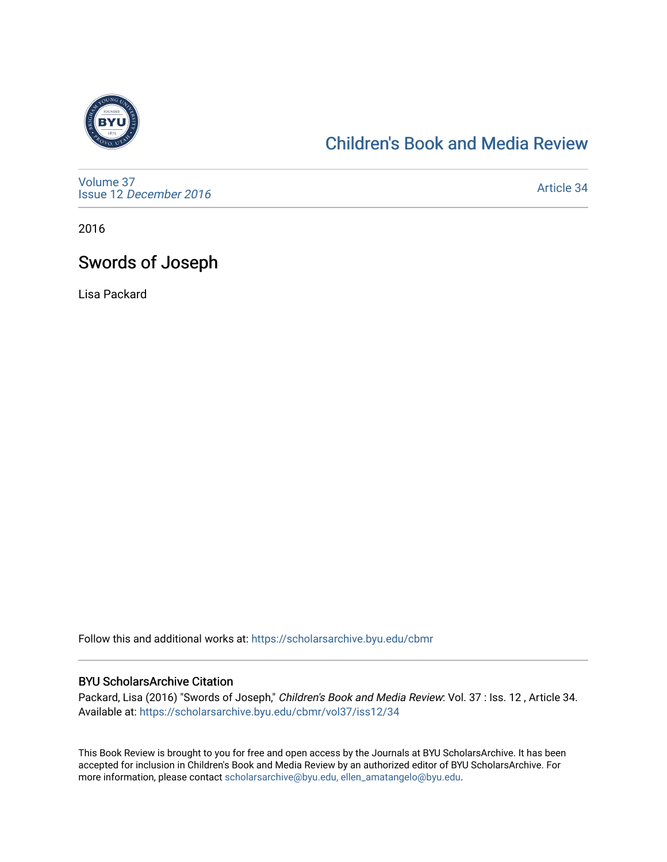

## [Children's Book and Media Review](https://scholarsarchive.byu.edu/cbmr)

[Volume 37](https://scholarsarchive.byu.edu/cbmr/vol37) Issue 12 [December 2016](https://scholarsarchive.byu.edu/cbmr/vol37/iss12)

[Article 34](https://scholarsarchive.byu.edu/cbmr/vol37/iss12/34) 

2016

## Swords of Joseph

Lisa Packard

Follow this and additional works at: [https://scholarsarchive.byu.edu/cbmr](https://scholarsarchive.byu.edu/cbmr?utm_source=scholarsarchive.byu.edu%2Fcbmr%2Fvol37%2Fiss12%2F34&utm_medium=PDF&utm_campaign=PDFCoverPages) 

## BYU ScholarsArchive Citation

Packard, Lisa (2016) "Swords of Joseph," Children's Book and Media Review: Vol. 37 : Iss. 12, Article 34. Available at: [https://scholarsarchive.byu.edu/cbmr/vol37/iss12/34](https://scholarsarchive.byu.edu/cbmr/vol37/iss12/34?utm_source=scholarsarchive.byu.edu%2Fcbmr%2Fvol37%2Fiss12%2F34&utm_medium=PDF&utm_campaign=PDFCoverPages) 

This Book Review is brought to you for free and open access by the Journals at BYU ScholarsArchive. It has been accepted for inclusion in Children's Book and Media Review by an authorized editor of BYU ScholarsArchive. For more information, please contact [scholarsarchive@byu.edu, ellen\\_amatangelo@byu.edu.](mailto:scholarsarchive@byu.edu,%20ellen_amatangelo@byu.edu)